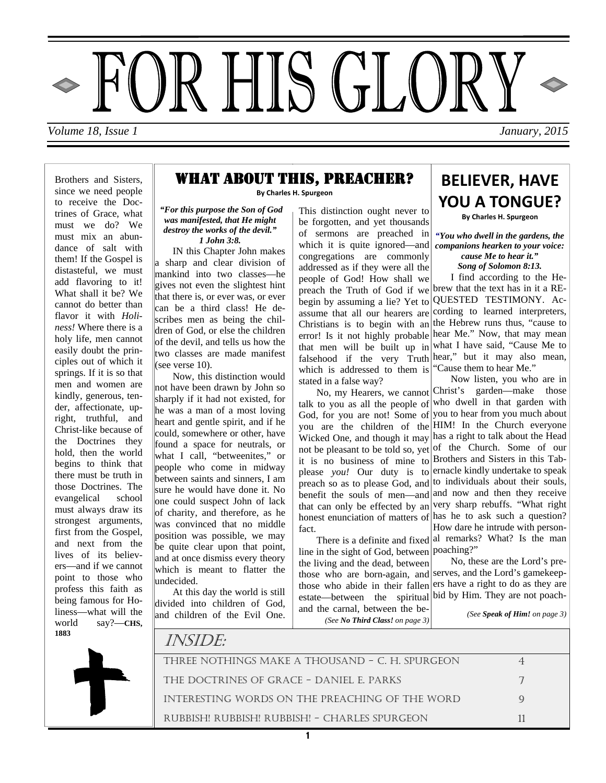

Brothers and Sisters, since we need people to receive the Doctrines of Grace, what must we do? We must mix an abundance of salt with them! If the Gospel is distasteful, we must add flavoring to it! What shall it be? We cannot do better than flavor it with *Holiness!* Where there is a holy life, men cannot easily doubt the principles out of which it springs. If it is so that men and women are kindly, generous, tender, affectionate, upright, truthful, and Christ-like because of the Doctrines they hold, then the world begins to think that there must be truth in those Doctrines. The evangelical school must always draw its strongest arguments, first from the Gospel, and next from the lives of its believers—and if we cannot point to those who profess this faith as being famous for Holiness—what will the world say?—**CHS, 1883**

### WHAT ABOUT THIS, PREACHER?

**By Charles H. Spurgeon**

#### *"For this purpose the Son of God was manifested, that He might destroy the works of the devil." 1 John 3:8.*

IN this Chapter John makes a sharp and clear division of mankind into two classes—he gives not even the slightest hint that there is, or ever was, or ever can be a third class! He describes men as being the children of God, or else the children of the devil, and tells us how the two classes are made manifest (see verse 10).

 Now, this distinction would not have been drawn by John so sharply if it had not existed, for he was a man of a most loving heart and gentle spirit, and if he could, somewhere or other, have found a space for neutrals, or what I call, "betweenites," or people who come in midway between saints and sinners, I am sure he would have done it. No one could suspect John of lack of charity, and therefore, as he was convinced that no middle position was possible, we may be quite clear upon that point, and at once dismiss every theory which is meant to flatter the undecided.

 At this day the world is still divided into children of God, and children of the Evil One.

INSIDE:

preach the Truth of God if we brew that the text has in it a REassume that all our hearers are cording to learned interpreters, Christians is to begin with an the Hebrew runs thus, "cause to error! Is it not highly probable hear Me." Now, that may mean that men will be built up in what I have said, "Cause Me to falsehood if the very  $Truth$  hear," but it may also mean, which is addressed to them is "Cause them to hear Me." This distinction ought never to be forgotten, and yet thousands of sermons are preached in which it is quite ignored—and congregations are commonly addressed as if they were all the people of God! How shall we begin by assuming a lie? Yet to stated in a false way?

talk to you as all the people of who dwell in that garden with God, for you are not! Some of you to hear from you much about you are the children of the HIM! In the Church everyone Wicked One, and though it may has a right to talk about the Head not be pleasant to be told so, yet of the Church. Some of our it is no business of mine to Brothers and Sisters in this Tabplease *you!* Our duty is to ernacle kindly undertake to speak preach so as to please God, and to individuals about their souls, benefit the souls of men—and and now and then they receive that can only be effected by an very sharp rebuffs. "What right honest enunciation of matters of has he to ask such a question? fact.

line in the sight of God, between poaching?" those who are born-again, and serves, and the Lord's gamekeepthose who abide in their fallen  $\vert$ ers have a right to do as they are estate—between the spiritual bid by Him. They are not poachthe living and the dead, between and the carnal, between the be-

*(See No Third Class! on page 3)* 

### **BELIEVER, HAVE YOU A TONGUE?**

**By Charles H. Spurgeon**

*"You who dwell in the gardens, the companions hearken to your voice: cause Me to hear it." Song of Solomon 8:13.* 

 I find according to the He-QUESTED TESTIMONY. Ac-

 Now listen, you who are in No, my Hearers, we cannot Christ's garden—make those How dare he intrude with person-There is a definite and fixed all remarks? What? Is the man

No, these are the Lord's pre-

*(See Speak of Him! on page 3)* 



| THREE NOTHINGS MAKE A THOUSAND - C. H. SPURGEON |  |
|-------------------------------------------------|--|
| THE DOCTRINES OF GRACE - DANIEL E. PARKS        |  |
| INTERESTING WORDS ON THE PREACHING OF THE WORD  |  |
| RUBBISH! RUBBISH! RUBBISH! - CHARLES SPURGEON   |  |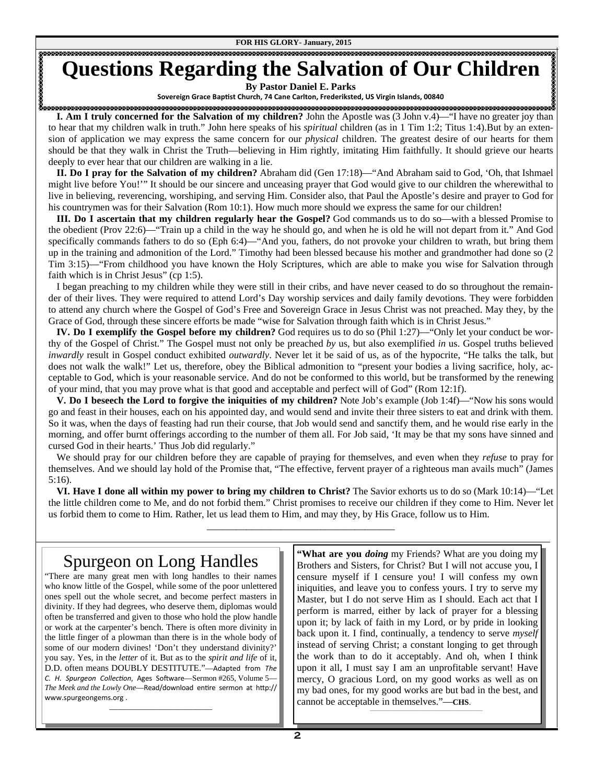#### **Questions Regarding the Salvation of Our Children**

**By Pastor Daniel E. Parks** 

**Sovereign Grace BapƟst Church, 74 Cane Carlton, Frederiksted, US Virgin Islands, 00840**

 **I. Am I truly concerned for the Salvation of my children?** John the Apostle was (3 John v.4)—"I have no greater joy than to hear that my children walk in truth." John here speaks of his *spiritual* children (as in 1 Tim 1:2; Titus 1:4).But by an extension of application we may express the same concern for our *physical* children. The greatest desire of our hearts for them should be that they walk in Christ the Truth—believing in Him rightly, imitating Him faithfully. It should grieve our hearts deeply to ever hear that our children are walking in a lie.

**II. Do I pray for the Salvation of my children?** Abraham did (Gen 17:18)—"And Abraham said to God, 'Oh, that Ishmael might live before You!'" It should be our sincere and unceasing prayer that God would give to our children the wherewithal to live in believing, reverencing, worshiping, and serving Him. Consider also, that Paul the Apostle's desire and prayer to God for his countrymen was for their Salvation (Rom 10:1). How much more should we express the same for our children!

 **III. Do I ascertain that my children regularly hear the Gospel?** God commands us to do so—with a blessed Promise to the obedient (Prov 22:6)—"Train up a child in the way he should go, and when he is old he will not depart from it." And God specifically commands fathers to do so (Eph 6:4)—"And you, fathers, do not provoke your children to wrath, but bring them up in the training and admonition of the Lord." Timothy had been blessed because his mother and grandmother had done so (2 Tim 3:15)—"From childhood you have known the Holy Scriptures, which are able to make you wise for Salvation through faith which is in Christ Jesus" (cp 1:5).

 I began preaching to my children while they were still in their cribs, and have never ceased to do so throughout the remainder of their lives. They were required to attend Lord's Day worship services and daily family devotions. They were forbidden to attend any church where the Gospel of God's Free and Sovereign Grace in Jesus Christ was not preached. May they, by the Grace of God, through these sincere efforts be made "wise for Salvation through faith which is in Christ Jesus."

 **IV. Do I exemplify the Gospel before my children?** God requires us to do so (Phil 1:27)—"Only let your conduct be worthy of the Gospel of Christ." The Gospel must not only be preached *by* us, but also exemplified *in* us. Gospel truths believed *inwardly* result in Gospel conduct exhibited *outwardly*. Never let it be said of us, as of the hypocrite, "He talks the talk, but does not walk the walk!" Let us, therefore, obey the Biblical admonition to "present your bodies a living sacrifice, holy, acceptable to God, which is your reasonable service. And do not be conformed to this world, but be transformed by the renewing of your mind, that you may prove what is that good and acceptable and perfect will of God" (Rom 12:1f).

 **V. Do I beseech the Lord to forgive the iniquities of my children?** Note Job's example (Job 1:4f)—"Now his sons would go and feast in their houses, each on his appointed day, and would send and invite their three sisters to eat and drink with them. So it was, when the days of feasting had run their course, that Job would send and sanctify them, and he would rise early in the morning, and offer burnt offerings according to the number of them all. For Job said, 'It may be that my sons have sinned and cursed God in their hearts.' Thus Job did regularly."

 We should pray for our children before they are capable of praying for themselves, and even when they *refuse* to pray for themselves. And we should lay hold of the Promise that, "The effective, fervent prayer of a righteous man avails much" (James 5:16).

 **VI. Have I done all within my power to bring my children to Christ?** The Savior exhorts us to do so (Mark 10:14)—"Let the little children come to Me, and do not forbid them." Christ promises to receive our children if they come to Him. Never let us forbid them to come to Him. Rather, let us lead them to Him, and may they, by His Grace, follow us to Him.

\_\_\_\_\_\_\_\_\_\_\_\_\_\_\_\_\_\_\_\_\_\_\_\_\_\_\_\_\_\_\_\_\_\_\_\_\_\_

### Spurgeon on Long Handles

"There are many great men with long handles to their names who know little of the Gospel, while some of the poor unlettered ones spell out the whole secret, and become perfect masters in divinity. If they had degrees, who deserve them, diplomas would often be transferred and given to those who hold the plow handle or work at the carpenter's bench. There is often more divinity in the little finger of a plowman than there is in the whole body of some of our modern divines! 'Don't they understand divinity?' you say. Yes, in the *letter* of it. But as to the *spirit and life* of it, D.D. often means DOUBLY DESTITUTE."—Adapted from *The C. H. Spurgeon Collection, Ages Software—Sermon #265, Volume 5– The Meek and the Lowly One*—Read/download entire sermon at http:// www.spurgeongems.org .

\_\_\_\_\_\_\_\_\_\_\_\_\_\_\_\_\_\_\_\_\_\_\_\_\_\_

**"What are you** *doing* my Friends? What are you doing my Brothers and Sisters, for Christ? But I will not accuse you, I censure myself if I censure you! I will confess my own iniquities, and leave you to confess yours. I try to serve my Master, but I do not serve Him as I should. Each act that I perform is marred, either by lack of prayer for a blessing upon it; by lack of faith in my Lord, or by pride in looking back upon it. I find, continually, a tendency to serve *myself* instead of serving Christ; a constant longing to get through the work than to do it acceptably. And oh, when I think upon it all, I must say I am an unprofitable servant! Have mercy, O gracious Lord, on my good works as well as on my bad ones, for my good works are but bad in the best, and cannot be acceptable in themselves."—CHS.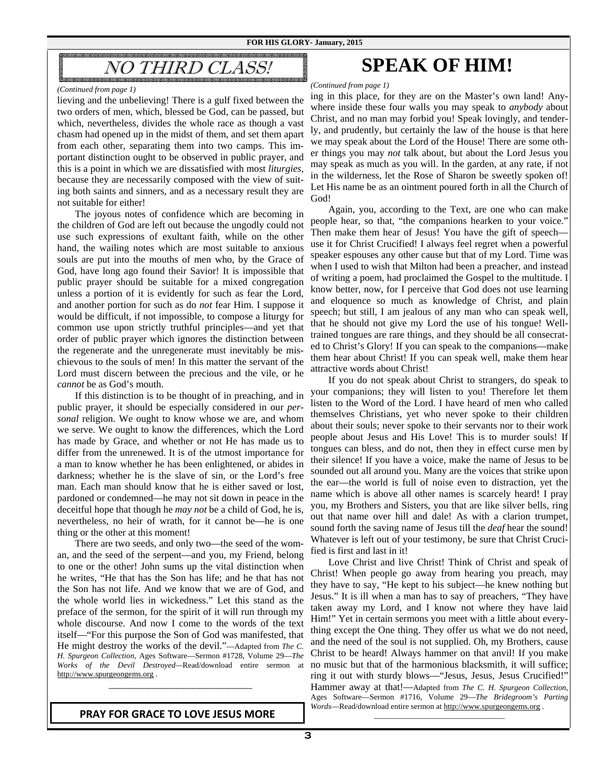

lieving and the unbelieving! There is a gulf fixed between the two orders of men, which, blessed be God, can be passed, but which, nevertheless, divides the whole race as though a vast chasm had opened up in the midst of them, and set them apart from each other, separating them into two camps. This important distinction ought to be observed in public prayer, and this is a point in which we are dissatisfied with most *liturgies*, because they are necessarily composed with the view of suiting both saints and sinners, and as a necessary result they are not suitable for either!

 The joyous notes of confidence which are becoming in the children of God are left out because the ungodly could not use such expressions of exultant faith, while on the other hand, the wailing notes which are most suitable to anxious souls are put into the mouths of men who, by the Grace of God, have long ago found their Savior! It is impossible that public prayer should be suitable for a mixed congregation unless a portion of it is evidently for such as fear the Lord, and another portion for such as do *not* fear Him. I suppose it would be difficult, if not impossible, to compose a liturgy for common use upon strictly truthful principles—and yet that order of public prayer which ignores the distinction between the regenerate and the unregenerate must inevitably be mischievous to the souls of men! In this matter the servant of the Lord must discern between the precious and the vile, or he *cannot* be as God's mouth.

 If this distinction is to be thought of in preaching, and in public prayer, it should be especially considered in our *personal* religion. We ought to know whose we are, and whom we serve. We ought to know the differences, which the Lord has made by Grace, and whether or not He has made us to differ from the unrenewed. It is of the utmost importance for a man to know whether he has been enlightened, or abides in darkness; whether he is the slave of sin, or the Lord's free man. Each man should know that he is either saved or lost, pardoned or condemned—he may not sit down in peace in the deceitful hope that though he *may not* be a child of God, he is, nevertheless, no heir of wrath, for it cannot be—he is one thing or the other at this moment!

 There are two seeds, and only two—the seed of the woman, and the seed of the serpent—and you, my Friend, belong to one or the other! John sums up the vital distinction when he writes, "He that has the Son has life; and he that has not the Son has not life. And we know that we are of God, and the whole world lies in wickedness." Let this stand as the preface of the sermon, for the spirit of it will run through my whole discourse. And now I come to the words of the text itself—"For this purpose the Son of God was manifested, that He might destroy the works of the devil."—Adapted from *The C. H. Spurgeon Collection*, Ages Software—Sermon #1728, Volume 29—*The Works of the Devil Destroyed—*Read/download entire sermon at http://www.spurgeongems.org .

**PRAY FOR GRACE TO LOVE JESUS MORE**

\_\_\_\_\_\_\_\_\_\_\_\_\_\_\_\_\_\_\_\_\_\_\_\_\_\_\_\_\_

*(Continued from page 1)* 

*(Continued from page 1)*<br>*ing in this place, for they are on the Master's own land! Any-*<br>liquing and the unbelieving! There is a gulf fixed between the *ing in this place*, for they are on the Master's own land! Anywhere inside these four walls you may speak to *anybody* about Christ, and no man may forbid you! Speak lovingly, and tenderly, and prudently, but certainly the law of the house is that here we may speak about the Lord of the House! There are some other things you may *not* talk about, but about the Lord Jesus you may speak as much as you will. In the garden, at any rate, if not in the wilderness, let the Rose of Sharon be sweetly spoken of! Let His name be as an ointment poured forth in all the Church of God!

> Again, you, according to the Text, are one who can make people hear, so that, "the companions hearken to your voice." Then make them hear of Jesus! You have the gift of speechuse it for Christ Crucified! I always feel regret when a powerful speaker espouses any other cause but that of my Lord. Time was when I used to wish that Milton had been a preacher, and instead of writing a poem, had proclaimed the Gospel to the multitude. I know better, now, for I perceive that God does not use learning and eloquence so much as knowledge of Christ, and plain speech; but still, I am jealous of any man who can speak well, that he should not give my Lord the use of his tongue! Welltrained tongues are rare things, and they should be all consecrated to Christ's Glory! If you can speak to the companions—make them hear about Christ! If you can speak well, make them hear attractive words about Christ!

> If you do not speak about Christ to strangers, do speak to your companions; they will listen to you! Therefore let them listen to the Word of the Lord. I have heard of men who called themselves Christians, yet who never spoke to their children about their souls; never spoke to their servants nor to their work people about Jesus and His Love! This is to murder souls! If tongues can bless, and do not, then they in effect curse men by their silence! If you have a voice, make the name of Jesus to be sounded out all around you. Many are the voices that strike upon the ear—the world is full of noise even to distraction, yet the name which is above all other names is scarcely heard! I pray you, my Brothers and Sisters, you that are like silver bells, ring out that name over hill and dale! As with a clarion trumpet, sound forth the saving name of Jesus till the *deaf* hear the sound! Whatever is left out of your testimony, be sure that Christ Crucified is first and last in it!

> Love Christ and live Christ! Think of Christ and speak of Christ! When people go away from hearing you preach, may they have to say, "He kept to his subject—he knew nothing but Jesus." It is ill when a man has to say of preachers, "They have taken away my Lord, and I know not where they have laid Him!" Yet in certain sermons you meet with a little about everything except the One thing. They offer us what we do not need, and the need of the soul is not supplied. Oh, my Brothers, cause Christ to be heard! Always hammer on that anvil! If you make no music but that of the harmonious blacksmith, it will suffice; ring it out with sturdy blows—"Jesus, Jesus, Jesus Crucified!" Hammer away at that!—Adapted from *The C. H. Spurgeon Collection*, Ages Software—Sermon #1716, Volume 29—*The Bridegroom's Parting Words*—Read/download entire sermon at http://www.spurgeongems.org .

> > \_\_\_\_\_\_\_\_\_\_\_\_\_\_\_\_\_\_\_\_\_\_\_\_\_\_\_\_\_\_\_\_\_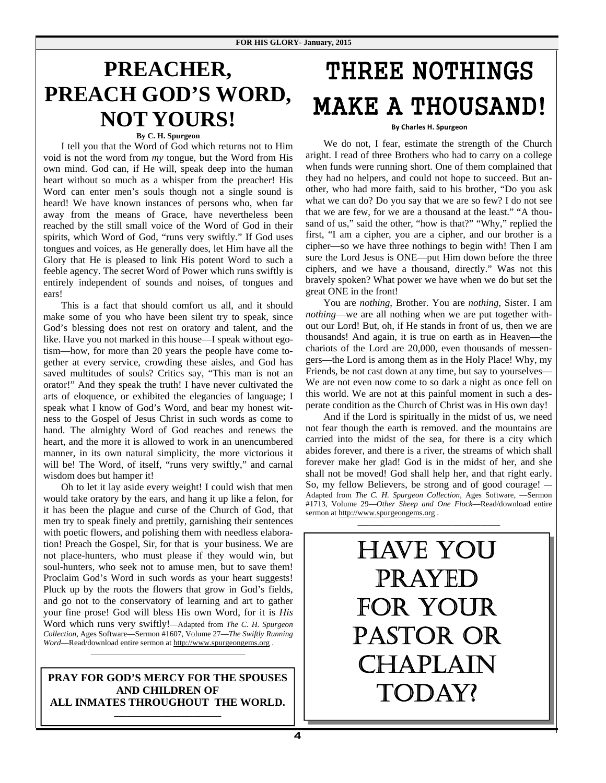### **PREACHER, PREACH GOD'S WORD, NOT YOURS! By C. H. Spurgeon**

 I tell you that the Word of God which returns not to Him void is not the word from *my* tongue, but the Word from His own mind. God can, if He will, speak deep into the human heart without so much as a whisper from the preacher! His Word can enter men's souls though not a single sound is heard! We have known instances of persons who, when far away from the means of Grace, have nevertheless been reached by the still small voice of the Word of God in their spirits, which Word of God, "runs very swiftly." If God uses tongues and voices, as He generally does, let Him have all the Glory that He is pleased to link His potent Word to such a feeble agency. The secret Word of Power which runs swiftly is entirely independent of sounds and noises, of tongues and ears!

 This is a fact that should comfort us all, and it should make some of you who have been silent try to speak, since God's blessing does not rest on oratory and talent, and the like. Have you not marked in this house—I speak without egotism—how, for more than 20 years the people have come together at every service, crowding these aisles, and God has saved multitudes of souls? Critics say, "This man is not an orator!" And they speak the truth! I have never cultivated the arts of eloquence, or exhibited the elegancies of language; I speak what I know of God's Word, and bear my honest witness to the Gospel of Jesus Christ in such words as come to hand. The almighty Word of God reaches and renews the heart, and the more it is allowed to work in an unencumbered manner, in its own natural simplicity, the more victorious it will be! The Word, of itself, "runs very swiftly," and carnal wisdom does but hamper it!

 Oh to let it lay aside every weight! I could wish that men would take oratory by the ears, and hang it up like a felon, for it has been the plague and curse of the Church of God, that men try to speak finely and prettily, garnishing their sentences with poetic flowers, and polishing them with needless elaboration! Preach the Gospel, Sir, for that is your business. We are not place-hunters, who must please if they would win, but soul-hunters, who seek not to amuse men, but to save them! Proclaim God's Word in such words as your heart suggests! Pluck up by the roots the flowers that grow in God's fields, and go not to the conservatory of learning and art to gather your fine prose! God will bless His own Word, for it is *His* Word which runs very swiftly!—Adapted from *The C. H. Spurgeon Collection*, Ages Software—Sermon #1607, Volume 27—*The Swiftly Running Word*—Read/download entire sermon at http://www.spurgeongems.org . \_\_\_\_\_\_\_\_\_\_\_\_\_\_\_\_\_\_\_\_\_\_\_\_\_\_\_\_\_\_\_\_\_\_\_\_\_\_\_

**PRAY FOR GOD'S MERCY FOR THE SPOUSES AND CHILDREN OF ALL INMATES THROUGHOUT THE WORLD.**

**\_\_\_\_\_\_\_\_\_\_\_\_\_\_\_\_\_\_\_\_\_\_\_\_\_\_\_** 

## THREE NOTHINGS MAKE A THOUSAND!

**By Charles H. Spurgeon**

 We do not, I fear, estimate the strength of the Church aright. I read of three Brothers who had to carry on a college when funds were running short. One of them complained that they had no helpers, and could not hope to succeed. But another, who had more faith, said to his brother, "Do you ask what we can do? Do you say that we are so few? I do not see that we are few, for we are a thousand at the least." "A thousand of us," said the other, "how is that?" "Why," replied the first, "I am a cipher, you are a cipher, and our brother is a cipher—so we have three nothings to begin with! Then I am sure the Lord Jesus is ONE—put Him down before the three ciphers, and we have a thousand, directly." Was not this bravely spoken? What power we have when we do but set the great ONE in the front!

 You are *nothing*, Brother. You are *nothing*, Sister. I am *nothing*—we are all nothing when we are put together without our Lord! But, oh, if He stands in front of us, then we are thousands! And again, it is true on earth as in Heaven—the chariots of the Lord are 20,000, even thousands of messengers—the Lord is among them as in the Holy Place! Why, my Friends, be not cast down at any time, but say to yourselves— We are not even now come to so dark a night as once fell on this world. We are not at this painful moment in such a desperate condition as the Church of Christ was in His own day!

 And if the Lord is spiritually in the midst of us, we need not fear though the earth is removed. and the mountains are carried into the midst of the sea, for there is a city which abides forever, and there is a river, the streams of which shall forever make her glad! God is in the midst of her, and she shall not be moved! God shall help her, and that right early. So, my fellow Believers, be strong and of good courage! — Adapted from *The C. H. Spurgeon Collection*, Ages Software, —Sermon #1713, Volume 29—*Other Sheep and One Flock*—Read/download entire sermon at http://www.spurgeongems.org.

\_\_\_\_\_\_\_\_\_\_\_\_\_\_\_\_\_\_\_\_\_\_\_\_\_\_\_\_\_\_\_\_\_\_\_\_

HAVE YOU PRAYED FOR YOUR PASTOR OR CHAPLAIN TODAY?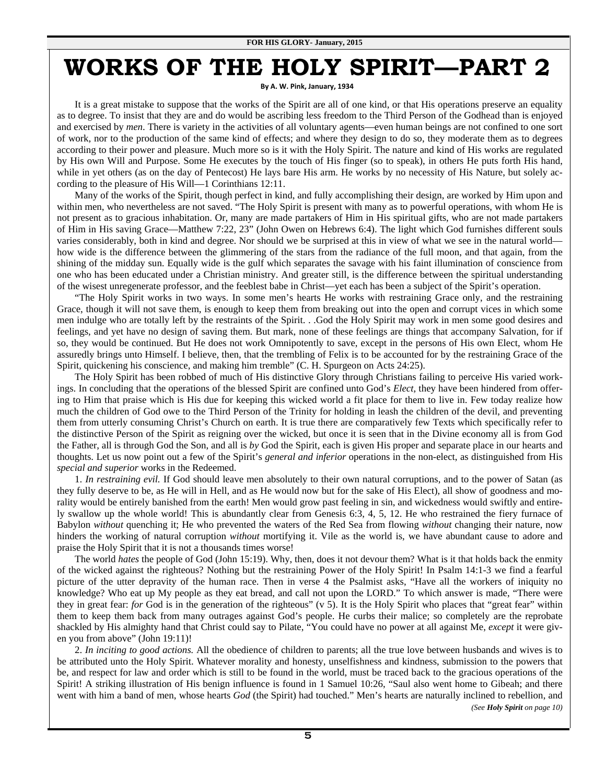## **WORKS OF THE HOLY SPIRIT—PART 2**

**By A. W. Pink, January, 1934**

It is a great mistake to suppose that the works of the Spirit are all of one kind, or that His operations preserve an equality as to degree. To insist that they are and do would be ascribing less freedom to the Third Person of the Godhead than is enjoyed and exercised by *men*. There is variety in the activities of all voluntary agents—even human beings are not confined to one sort of work, nor to the production of the same kind of effects; and where they design to do so, they moderate them as to degrees according to their power and pleasure. Much more so is it with the Holy Spirit. The nature and kind of His works are regulated by His own Will and Purpose. Some He executes by the touch of His finger (so to speak), in others He puts forth His hand, while in yet others (as on the day of Pentecost) He lays bare His arm. He works by no necessity of His Nature, but solely according to the pleasure of His Will—1 Corinthians 12:11.

Many of the works of the Spirit, though perfect in kind, and fully accomplishing their design, are worked by Him upon and within men, who nevertheless are not saved. "The Holy Spirit is present with many as to powerful operations, with whom He is not present as to gracious inhabitation. Or, many are made partakers of Him in His spiritual gifts, who are not made partakers of Him in His saving Grace—Matthew 7:22, 23" (John Owen on Hebrews 6:4). The light which God furnishes different souls varies considerably, both in kind and degree. Nor should we be surprised at this in view of what we see in the natural world how wide is the difference between the glimmering of the stars from the radiance of the full moon, and that again, from the shining of the midday sun. Equally wide is the gulf which separates the savage with his faint illumination of conscience from one who has been educated under a Christian ministry. And greater still, is the difference between the spiritual understanding of the wisest unregenerate professor, and the feeblest babe in Christ—yet each has been a subject of the Spirit's operation.

"The Holy Spirit works in two ways. In some men's hearts He works with restraining Grace only, and the restraining Grace, though it will not save them, is enough to keep them from breaking out into the open and corrupt vices in which some men indulge who are totally left by the restraints of the Spirit. . .God the Holy Spirit may work in men some good desires and feelings, and yet have no design of saving them. But mark, none of these feelings are things that accompany Salvation, for if so, they would be continued. But He does not work Omnipotently to save, except in the persons of His own Elect, whom He assuredly brings unto Himself. I believe, then, that the trembling of Felix is to be accounted for by the restraining Grace of the Spirit, quickening his conscience, and making him tremble" (C. H. Spurgeon on Acts 24:25).

The Holy Spirit has been robbed of much of His distinctive Glory through Christians failing to perceive His varied workings. In concluding that the operations of the blessed Spirit are confined unto God's *Elect*, they have been hindered from offering to Him that praise which is His due for keeping this wicked world a fit place for them to live in. Few today realize how much the children of God owe to the Third Person of the Trinity for holding in leash the children of the devil, and preventing them from utterly consuming Christ's Church on earth. It is true there are comparatively few Texts which specifically refer to the distinctive Person of the Spirit as reigning over the wicked, but once it is seen that in the Divine economy all is from God the Father, all is through God the Son, and all is *by* God the Spirit, each is given His proper and separate place in our hearts and thoughts. Let us now point out a few of the Spirit's *general and inferior* operations in the non-elect, as distinguished from His *special and superior* works in the Redeemed.

1. *In restraining evil.* If God should leave men absolutely to their own natural corruptions, and to the power of Satan (as they fully deserve to be, as He will in Hell, and as He would now but for the sake of His Elect), all show of goodness and morality would be entirely banished from the earth! Men would grow past feeling in sin, and wickedness would swiftly and entirely swallow up the whole world! This is abundantly clear from Genesis 6:3, 4, 5, 12. He who restrained the fiery furnace of Babylon *without* quenching it; He who prevented the waters of the Red Sea from flowing *without* changing their nature, now hinders the working of natural corruption *without* mortifying it. Vile as the world is, we have abundant cause to adore and praise the Holy Spirit that it is not a thousands times worse!

The world *hates* the people of God (John 15:19). Why, then, does it not devour them? What is it that holds back the enmity of the wicked against the righteous? Nothing but the restraining Power of the Holy Spirit! In Psalm 14:1-3 we find a fearful picture of the utter depravity of the human race. Then in verse 4 the Psalmist asks, "Have all the workers of iniquity no knowledge? Who eat up My people as they eat bread, and call not upon the LORD." To which answer is made, "There were they in great fear: *for* God is in the generation of the righteous" (v 5). It is the Holy Spirit who places that "great fear" within them to keep them back from many outrages against God's people. He curbs their malice; so completely are the reprobate shackled by His almighty hand that Christ could say to Pilate, "You could have no power at all against Me, *except* it were given you from above" (John 19:11)!

2. *In inciting to good actions.* All the obedience of children to parents; all the true love between husbands and wives is to be attributed unto the Holy Spirit. Whatever morality and honesty, unselfishness and kindness, submission to the powers that be, and respect for law and order which is still to be found in the world, must be traced back to the gracious operations of the Spirit! A striking illustration of His benign influence is found in 1 Samuel 10:26, "Saul also went home to Gibeah; and there went with him a band of men, whose hearts *God* (the Spirit) had touched." Men's hearts are naturally inclined to rebellion, and

*(See Holy Spirit on page 10)*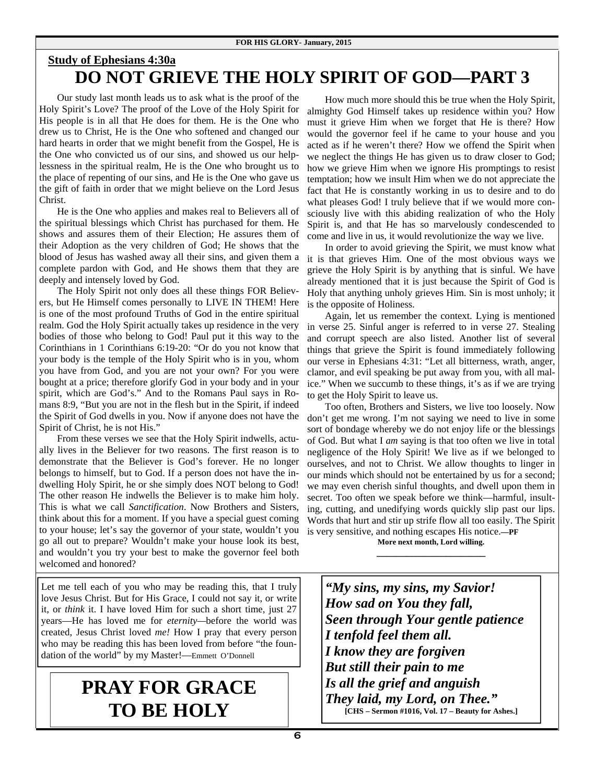#### **Study of Ephesians 4:30a DO NOT GRIEVE THE HOLY SPIRIT OF GOD—PART 3**

Our study last month leads us to ask what is the proof of the Holy Spirit's Love? The proof of the Love of the Holy Spirit for His people is in all that He does for them. He is the One who drew us to Christ, He is the One who softened and changed our hard hearts in order that we might benefit from the Gospel, He is the One who convicted us of our sins, and showed us our helplessness in the spiritual realm, He is the One who brought us to the place of repenting of our sins, and He is the One who gave us the gift of faith in order that we might believe on the Lord Jesus Christ.

 He is the One who applies and makes real to Believers all of the spiritual blessings which Christ has purchased for them. He shows and assures them of their Election; He assures them of their Adoption as the very children of God; He shows that the blood of Jesus has washed away all their sins, and given them a complete pardon with God, and He shows them that they are deeply and intensely loved by God.

 The Holy Spirit not only does all these things FOR Believers, but He Himself comes personally to LIVE IN THEM! Here is one of the most profound Truths of God in the entire spiritual realm. God the Holy Spirit actually takes up residence in the very bodies of those who belong to God! Paul put it this way to the Corinthians in 1 Corinthians 6:19-20: "Or do you not know that your body is the temple of the Holy Spirit who is in you, whom you have from God, and you are not your own? For you were bought at a price; therefore glorify God in your body and in your spirit, which are God's." And to the Romans Paul says in Romans 8:9, "But you are not in the flesh but in the Spirit, if indeed the Spirit of God dwells in you. Now if anyone does not have the Spirit of Christ, he is not His."

 From these verses we see that the Holy Spirit indwells, actually lives in the Believer for two reasons. The first reason is to demonstrate that the Believer is God's forever. He no longer belongs to himself, but to God. If a person does not have the indwelling Holy Spirit, he or she simply does NOT belong to God! The other reason He indwells the Believer is to make him holy. This is what we call *Sanctification*. Now Brothers and Sisters, think about this for a moment. If you have a special guest coming to your house; let's say the governor of your state, wouldn't you go all out to prepare? Wouldn't make your house look its best, and wouldn't you try your best to make the governor feel both welcomed and honored?

Let me tell each of you who may be reading this, that I truly love Jesus Christ. But for His Grace, I could not say it, or write it, or *think* it. I have loved Him for such a short time, just 27 years—He has loved me for *eternity—*before the world was created, Jesus Christ loved *me!* How I pray that every person who may be reading this has been loved from before "the foundation of the world" by my Master!—Emmett O'Donnell

### **PRAY FOR GRACE TO BE HOLY**

 How much more should this be true when the Holy Spirit, almighty God Himself takes up residence within you? How must it grieve Him when we forget that He is there? How would the governor feel if he came to your house and you acted as if he weren't there? How we offend the Spirit when we neglect the things He has given us to draw closer to God; how we grieve Him when we ignore His promptings to resist temptation; how we insult Him when we do not appreciate the fact that He is constantly working in us to desire and to do what pleases God! I truly believe that if we would more consciously live with this abiding realization of who the Holy Spirit is, and that He has so marvelously condescended to come and live in us, it would revolutionize the way we live.

 In order to avoid grieving the Spirit, we must know what it is that grieves Him. One of the most obvious ways we grieve the Holy Spirit is by anything that is sinful. We have already mentioned that it is just because the Spirit of God is Holy that anything unholy grieves Him. Sin is most unholy; it is the opposite of Holiness.

 Again, let us remember the context. Lying is mentioned in verse 25. Sinful anger is referred to in verse 27. Stealing and corrupt speech are also listed. Another list of several things that grieve the Spirit is found immediately following our verse in Ephesians 4:31: "Let all bitterness, wrath, anger, clamor, and evil speaking be put away from you, with all malice." When we succumb to these things, it's as if we are trying to get the Holy Spirit to leave us.

 Too often, Brothers and Sisters, we live too loosely. Now don't get me wrong. I'm not saying we need to live in some sort of bondage whereby we do not enjoy life or the blessings of God. But what I *am* saying is that too often we live in total negligence of the Holy Spirit! We live as if we belonged to ourselves, and not to Christ. We allow thoughts to linger in our minds which should not be entertained by us for a second; we may even cherish sinful thoughts, and dwell upon them in secret. Too often we speak before we think—harmful, insulting, cutting, and unedifying words quickly slip past our lips. Words that hurt and stir up strife flow all too easily. The Spirit is very sensitive, and nothing escapes His notice.**—PF** 

> **More next month, Lord willing. \_\_\_\_\_\_\_\_\_\_\_\_\_\_\_\_\_\_\_\_\_\_**

*"My sins, my sins, my Savior! How sad on You they fall, Seen through Your gentle patience I tenfold feel them all. I know they are forgiven But still their pain to me Is all the grief and anguish They laid, my Lord, on Thee."*  **[CHS – Sermon #1016, Vol. 17 – Beauty for Ashes.]**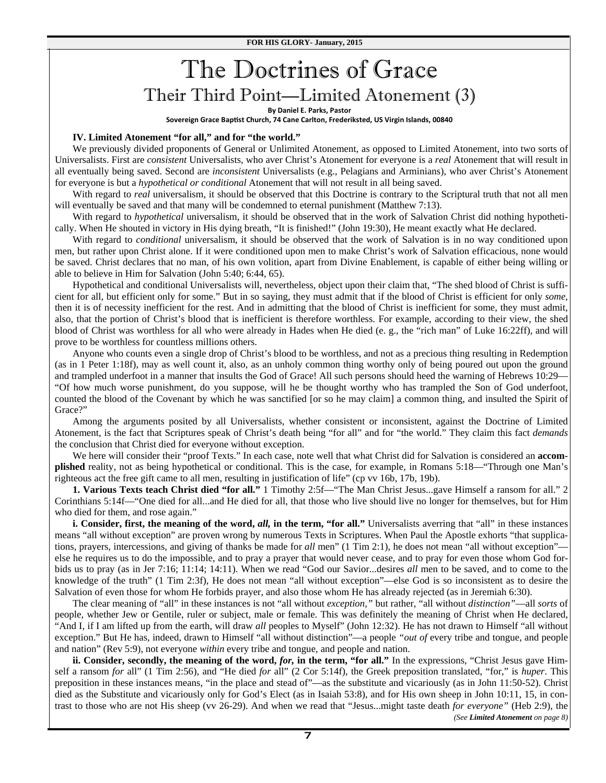### The Doctrines of Grace Their Third Point—Limited Atonement (3)

**By Daniel E. Parks, Pastor**

**Sovereign Grace BapƟst Church, 74 Cane Carlton, Frederiksted, US Virgin Islands, 00840**

#### **IV. Limited Atonement "for all," and for "the world."**

 We previously divided proponents of General or Unlimited Atonement, as opposed to Limited Atonement, into two sorts of Universalists. First are *consistent* Universalists, who aver Christ's Atonement for everyone is a *real* Atonement that will result in all eventually being saved. Second are *inconsistent* Universalists (e.g., Pelagians and Arminians), who aver Christ's Atonement for everyone is but a *hypothetical or conditional* Atonement that will not result in all being saved.

 With regard to *real* universalism, it should be observed that this Doctrine is contrary to the Scriptural truth that not all men will eventually be saved and that many will be condemned to eternal punishment (Matthew 7:13).

 With regard to *hypothetical* universalism, it should be observed that in the work of Salvation Christ did nothing hypothetically. When He shouted in victory in His dying breath, "It is finished!" (John 19:30), He meant exactly what He declared.

 With regard to *conditional* universalism, it should be observed that the work of Salvation is in no way conditioned upon men, but rather upon Christ alone. If it were conditioned upon men to make Christ's work of Salvation efficacious, none would be saved. Christ declares that no man, of his own volition, apart from Divine Enablement, is capable of either being willing or able to believe in Him for Salvation (John 5:40; 6:44, 65).

 Hypothetical and conditional Universalists will, nevertheless, object upon their claim that, "The shed blood of Christ is sufficient for all, but efficient only for some." But in so saying, they must admit that if the blood of Christ is efficient for only *some,*  then it is of necessity inefficient for the rest. And in admitting that the blood of Christ is inefficient for some, they must admit, also, that the portion of Christ's blood that is inefficient is therefore worthless. For example, according to their view, the shed blood of Christ was worthless for all who were already in Hades when He died (e. g., the "rich man" of Luke 16:22ff), and will prove to be worthless for countless millions others.

 Anyone who counts even a single drop of Christ's blood to be worthless, and not as a precious thing resulting in Redemption (as in 1 Peter 1:18f), may as well count it, also, as an unholy common thing worthy only of being poured out upon the ground and trampled underfoot in a manner that insults the God of Grace! All such persons should heed the warning of Hebrews 10:29— "Of how much worse punishment, do you suppose, will he be thought worthy who has trampled the Son of God underfoot, counted the blood of the Covenant by which he was sanctified [or so he may claim] a common thing, and insulted the Spirit of Grace?"

 Among the arguments posited by all Universalists, whether consistent or inconsistent, against the Doctrine of Limited Atonement, is the fact that Scriptures speak of Christ's death being "for all" and for "the world." They claim this fact *demands* the conclusion that Christ died for everyone without exception.

 We here will consider their "proof Texts." In each case, note well that what Christ did for Salvation is considered an **accomplished** reality, not as being hypothetical or conditional. This is the case, for example, in Romans 5:18—"Through one Man's righteous act the free gift came to all men, resulting in justification of life" (cp vv 16b, 17b, 19b).

 **1. Various Texts teach Christ died "for all."** 1 Timothy 2:5f—"The Man Christ Jesus...gave Himself a ransom for all." 2 Corinthians 5:14f—"One died for all...and He died for all, that those who live should live no longer for themselves, but for Him who died for them, and rose again."

**i. Consider, first, the meaning of the word, all, in the term, "for all." Universalists averring that "all" in these instances** means "all without exception" are proven wrong by numerous Texts in Scriptures. When Paul the Apostle exhorts "that supplications, prayers, intercessions, and giving of thanks be made for *all* men" (1 Tim 2:1), he does n*o*t mean "all without exception" else he requires us to do the impossible, and to pray a prayer that would never cease, and to pray for even those whom God forbids us to pray (as in Jer 7:16; 11:14; 14:11). When we read "God our Savior...desires *all* men to be saved, and to come to the knowledge of the truth" (1 Tim 2:3f), He does not mean "all without exception"—else God is so inconsistent as to desire the Salvation of even those for whom He forbids prayer, and also those whom He has already rejected (as in Jeremiah 6:30).

 The clear meaning of "all" in these instances is not "all without *exception,"* but rather, "all without *distinction"*—all *sorts* of people, whether Jew or Gentile, ruler or subject, male or female. This was definitely the meaning of Christ when He declared, "And I, if I am lifted up from the earth, will draw *all* peoples to Myself" (John 12:32). He has not drawn to Himself "all without exception." But He has, indeed, drawn to Himself "all without distinction"—a people *"out of* every tribe and tongue, and people and nation" (Rev 5:9), not everyone *within* every tribe and tongue, and people and nation.

**ii. Consider, secondly, the meaning of the word,** *for***, in the term, "for all."** In the expressions, "Christ Jesus gave Himself a ransom *for* all" (1 Tim 2:56), and "He died *for* all" (2 Cor 5:14f), the Greek preposition translated, "for," is *huper*. This preposition in these instances means, "in the place and stead of"—as the substitute and vicariously (as in John 11:50-52). Christ died as the Substitute and vicariously only for God's Elect (as in Isaiah 53:8), and for His own sheep in John 10:11, 15, in contrast to those who are not His sheep (vv 26-29). And when we read that "Jesus...might taste death *for everyone"* (Heb 2:9), the *(See Limited Atonement on page 8)*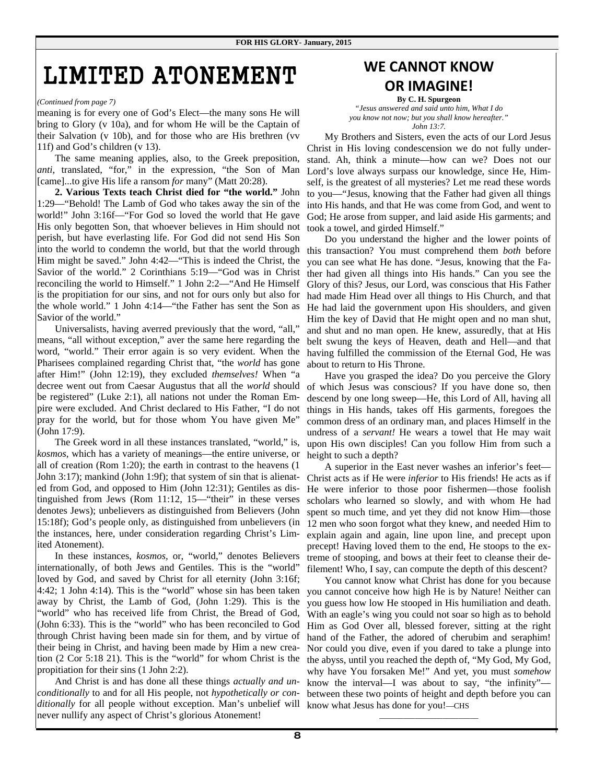## LIMITED ATONEMENT

#### *(Continued from page 7)*

meaning is for every one of God's Elect—the many sons He will bring to Glory (v 10a), and for whom He will be the Captain of their Salvation (v 10b), and for those who are His brethren (vv 11f) and God's children (v 13).

 The same meaning applies, also, to the Greek preposition, *anti*, translated, "for," in the expression, "the Son of Man [came]...to give His life a ransom *for* many" (Matt 20:28).

 **2. Various Texts teach Christ died for "the world."** John 1:29—"Behold! The Lamb of God who takes away the sin of the world!" John 3:16f—"For God so loved the world that He gave His only begotten Son, that whoever believes in Him should not perish, but have everlasting life. For God did not send His Son into the world to condemn the world, but that the world through Him might be saved." John 4:42—"This is indeed the Christ, the Savior of the world." 2 Corinthians 5:19—"God was in Christ reconciling the world to Himself." 1 John 2:2—"And He Himself is the propitiation for our sins, and not for ours only but also for the whole world." 1 John 4:14—"the Father has sent the Son as Savior of the world."

 Universalists, having averred previously that the word, "all," means, "all without exception," aver the same here regarding the word, "world." Their error again is so very evident. When the Pharisees complained regarding Christ that, "the *world* has gone after Him!" (John 12:19), they excluded *themselves!* When "a decree went out from Caesar Augustus that all the *world* should be registered" (Luke 2:1), all nations not under the Roman Empire were excluded. And Christ declared to His Father, "I do not pray for the world, but for those whom You have given Me" (John 17:9).

 The Greek word in all these instances translated, "world," is, *kosmos*, which has a variety of meanings—the entire universe, or all of creation (Rom 1:20); the earth in contrast to the heavens (1 John 3:17); mankind (John 1:9f); that system of sin that is alienated from God, and opposed to Him (John 12:31); Gentiles as distinguished from Jews (Rom 11:12, 15—"their" in these verses denotes Jews); unbelievers as distinguished from Believers (John 15:18f); God's people only, as distinguished from unbelievers (in the instances, here, under consideration regarding Christ's Limited Atonement).

 In these instances, *kosmos,* or, "world," denotes Believers internationally, of both Jews and Gentiles. This is the "world" loved by God, and saved by Christ for all eternity (John 3:16f; 4:42; 1 John 4:14). This is the "world" whose sin has been taken away by Christ, the Lamb of God, (John 1:29). This is the "world" who has received life from Christ, the Bread of God, (John 6:33). This is the "world" who has been reconciled to God through Christ having been made sin for them, and by virtue of their being in Christ, and having been made by Him a new creation (2 Cor 5:18 21). This is the "world" for whom Christ is the propitiation for their sins (1 John 2:2).

 And Christ is and has done all these things *actually and unconditionally* to and for all His people, not *hypothetically or con*ditionally for all people without exception. Man's unbelief will know what Jesus has done for you!-CHS never nullify any aspect of Christ's glorious Atonement!

### **WE CANNOT KNOW OR IMAGINE!**

**By C. H. Spurgeon** 

*"Jesus answered and said unto him, What I do you know not now; but you shall know hereafter." John 13:7.* 

My Brothers and Sisters, even the acts of our Lord Jesus Christ in His loving condescension we do not fully understand. Ah, think a minute—how can we? Does not our Lord's love always surpass our knowledge, since He, Himself, is the greatest of all mysteries? Let me read these words to you—"Jesus, knowing that the Father had given all things into His hands, and that He was come from God, and went to God; He arose from supper, and laid aside His garments; and took a towel, and girded Himself."

 Do you understand the higher and the lower points of this transaction? You must comprehend them *both* before you can see what He has done. "Jesus, knowing that the Father had given all things into His hands." Can you see the Glory of this? Jesus, our Lord, was conscious that His Father had made Him Head over all things to His Church, and that He had laid the government upon His shoulders, and given Him the key of David that He might open and no man shut, and shut and no man open. He knew, assuredly, that at His belt swung the keys of Heaven, death and Hell—and that having fulfilled the commission of the Eternal God, He was about to return to His Throne.

 Have you grasped the idea? Do you perceive the Glory of which Jesus was conscious? If you have done so, then descend by one long sweep—He, this Lord of All, having all things in His hands, takes off His garments, foregoes the common dress of an ordinary man, and places Himself in the undress of a *servant!* He wears a towel that He may wait upon His own disciples! Can you follow Him from such a height to such a depth?

 A superior in the East never washes an inferior's feet— Christ acts as if He were *inferior* to His friends! He acts as if He were inferior to those poor fishermen—those foolish scholars who learned so slowly, and with whom He had spent so much time, and yet they did not know Him—those 12 men who soon forgot what they knew, and needed Him to explain again and again, line upon line, and precept upon precept! Having loved them to the end, He stoops to the extreme of stooping, and bows at their feet to cleanse their defilement! Who, I say, can compute the depth of this descent?

 You cannot know what Christ has done for you because you cannot conceive how high He is by Nature! Neither can you guess how low He stooped in His humiliation and death. With an eagle's wing you could not soar so high as to behold Him as God Over all, blessed forever, sitting at the right hand of the Father, the adored of cherubim and seraphim! Nor could you dive, even if you dared to take a plunge into the abyss, until you reached the depth of, "My God, My God, why have You forsaken Me!" And yet, you must *somehow* know the interval—I was about to say, "the infinity" between these two points of height and depth before you can

 $\frac{1}{2}$  ,  $\frac{1}{2}$  ,  $\frac{1}{2}$  ,  $\frac{1}{2}$  ,  $\frac{1}{2}$  ,  $\frac{1}{2}$  ,  $\frac{1}{2}$  ,  $\frac{1}{2}$  ,  $\frac{1}{2}$  ,  $\frac{1}{2}$  ,  $\frac{1}{2}$  ,  $\frac{1}{2}$  ,  $\frac{1}{2}$  ,  $\frac{1}{2}$  ,  $\frac{1}{2}$  ,  $\frac{1}{2}$  ,  $\frac{1}{2}$  ,  $\frac{1}{2}$  ,  $\frac{1$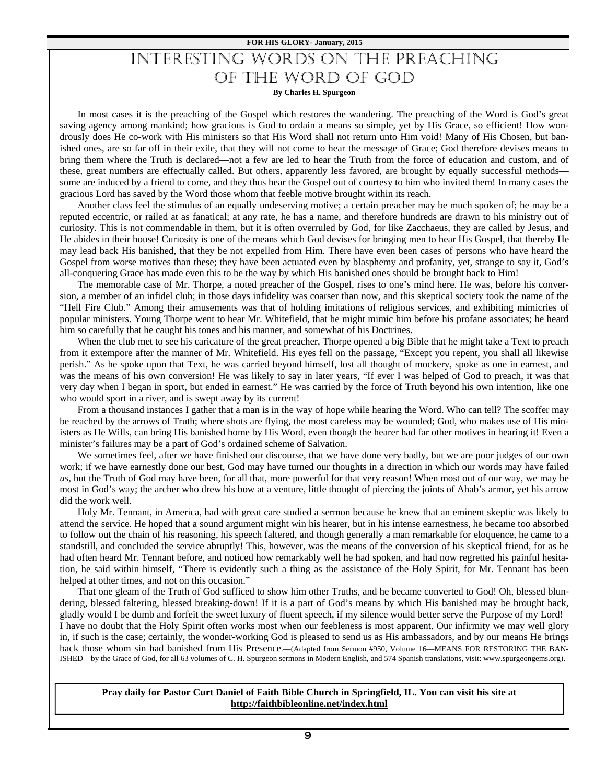#### **FOR HIS GLORY- January, 2015**

### INTERESTING WORDS ON THE PREACHING OF THE WORD OF GOD

**By Charles H. Spurgeon** 

In most cases it is the preaching of the Gospel which restores the wandering. The preaching of the Word is God's great saving agency among mankind; how gracious is God to ordain a means so simple, yet by His Grace, so efficient! How wondrously does He co-work with His ministers so that His Word shall not return unto Him void! Many of His Chosen, but banished ones, are so far off in their exile, that they will not come to hear the message of Grace; God therefore devises means to bring them where the Truth is declared—not a few are led to hear the Truth from the force of education and custom, and of these, great numbers are effectually called. But others, apparently less favored, are brought by equally successful methods some are induced by a friend to come, and they thus hear the Gospel out of courtesy to him who invited them! In many cases the gracious Lord has saved by the Word those whom that feeble motive brought within its reach.

Another class feel the stimulus of an equally undeserving motive; a certain preacher may be much spoken of; he may be a reputed eccentric, or railed at as fanatical; at any rate, he has a name, and therefore hundreds are drawn to his ministry out of curiosity. This is not commendable in them, but it is often overruled by God, for like Zacchaeus, they are called by Jesus, and He abides in their house! Curiosity is one of the means which God devises for bringing men to hear His Gospel, that thereby He may lead back His banished, that they be not expelled from Him. There have even been cases of persons who have heard the Gospel from worse motives than these; they have been actuated even by blasphemy and profanity, yet, strange to say it, God's all-conquering Grace has made even this to be the way by which His banished ones should be brought back to Him!

The memorable case of Mr. Thorpe, a noted preacher of the Gospel, rises to one's mind here. He was, before his conversion, a member of an infidel club; in those days infidelity was coarser than now, and this skeptical society took the name of the "Hell Fire Club." Among their amusements was that of holding imitations of religious services, and exhibiting mimicries of popular ministers. Young Thorpe went to hear Mr. Whitefield, that he might mimic him before his profane associates; he heard him so carefully that he caught his tones and his manner, and somewhat of his Doctrines.

When the club met to see his caricature of the great preacher, Thorpe opened a big Bible that he might take a Text to preach from it extempore after the manner of Mr. Whitefield. His eyes fell on the passage, "Except you repent, you shall all likewise perish." As he spoke upon that Text, he was carried beyond himself, lost all thought of mockery, spoke as one in earnest, and was the means of his own conversion! He was likely to say in later years, "If ever I was helped of God to preach, it was that very day when I began in sport, but ended in earnest." He was carried by the force of Truth beyond his own intention, like one who would sport in a river, and is swept away by its current!

From a thousand instances I gather that a man is in the way of hope while hearing the Word. Who can tell? The scoffer may be reached by the arrows of Truth; where shots are flying, the most careless may be wounded; God, who makes use of His ministers as He Wills, can bring His banished home by His Word, even though the hearer had far other motives in hearing it! Even a minister's failures may be a part of God's ordained scheme of Salvation.

We sometimes feel, after we have finished our discourse, that we have done very badly, but we are poor judges of our own work; if we have earnestly done our best, God may have turned our thoughts in a direction in which our words may have failed *us,* but the Truth of God may have been, for all that, more powerful for that very reason! When most out of our way, we may be most in God's way; the archer who drew his bow at a venture, little thought of piercing the joints of Ahab's armor, yet his arrow did the work well.

Holy Mr. Tennant, in America, had with great care studied a sermon because he knew that an eminent skeptic was likely to attend the service. He hoped that a sound argument might win his hearer, but in his intense earnestness, he became too absorbed to follow out the chain of his reasoning, his speech faltered, and though generally a man remarkable for eloquence, he came to a standstill, and concluded the service abruptly! This, however, was the means of the conversion of his skeptical friend, for as he had often heard Mr. Tennant before, and noticed how remarkably well he had spoken, and had now regretted his painful hesitation, he said within himself, "There is evidently such a thing as the assistance of the Holy Spirit, for Mr. Tennant has been helped at other times, and not on this occasion."

That one gleam of the Truth of God sufficed to show him other Truths, and he became converted to God! Oh, blessed blundering, blessed faltering, blessed breaking-down! If it is a part of God's means by which His banished may be brought back, gladly would I be dumb and forfeit the sweet luxury of fluent speech, if my silence would better serve the Purpose of my Lord! I have no doubt that the Holy Spirit often works most when our feebleness is most apparent. Our infirmity we may well glory in, if such is the case; certainly, the wonder-working God is pleased to send us as His ambassadors, and by our means He brings back those whom sin had banished from His Presence.—(Adapted from Sermon #950, Volume 16—MEANS FOR RESTORING THE BAN-ISHED—by the Grace of God, for all 63 volumes of C. H. Spurgeon sermons in Modern English, and 574 Spanish translations, visit: www.spurgeongems.org). \_\_\_\_\_\_\_\_\_\_\_\_\_\_\_\_\_\_\_\_\_\_\_\_\_\_\_\_\_\_\_\_\_\_\_\_\_\_\_\_\_\_\_\_\_

**Pray daily for Pastor Curt Daniel of Faith Bible Church in Springfield, IL. You can visit his site at http://faithbibleonline.net/index.html**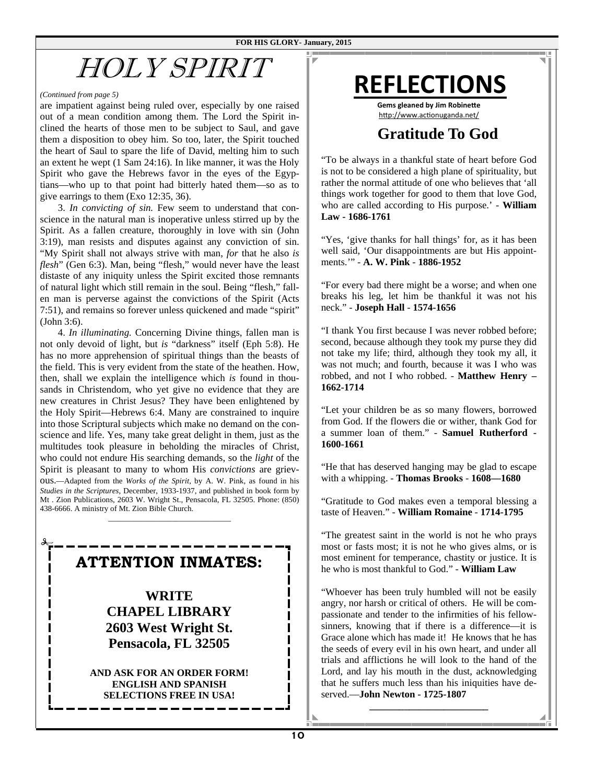# HOLY SPIRIT **REFLECTIONS**

#### *(Continued from page 5)*

are impatient against being ruled over, especially by one raised out of a mean condition among them. The Lord the Spirit inclined the hearts of those men to be subject to Saul, and gave them a disposition to obey him. So too, later, the Spirit touched the heart of Saul to spare the life of David, melting him to such an extent he wept (1 Sam 24:16). In like manner, it was the Holy Spirit who gave the Hebrews favor in the eyes of the Egyptians—who up to that point had bitterly hated them—so as to give earrings to them (Exo 12:35, 36).

3. *In convicting of sin.* Few seem to understand that conscience in the natural man is inoperative unless stirred up by the Spirit. As a fallen creature, thoroughly in love with sin (John 3:19), man resists and disputes against any conviction of sin. "My Spirit shall not always strive with man, *for* that he also *is flesh*" (Gen 6:3). Man, being "flesh," would never have the least distaste of any iniquity unless the Spirit excited those remnants of natural light which still remain in the soul. Being "flesh," fallen man is perverse against the convictions of the Spirit (Acts 7:51), and remains so forever unless quickened and made "spirit" (John 3:6).

4. *In illuminating.* Concerning Divine things, fallen man is not only devoid of light, but *is* "darkness" itself (Eph 5:8). He has no more apprehension of spiritual things than the beasts of the field. This is very evident from the state of the heathen. How, then, shall we explain the intelligence which *is* found in thousands in Christendom, who yet give no evidence that they are new creatures in Christ Jesus? They have been enlightened by the Holy Spirit—Hebrews 6:4. Many are constrained to inquire into those Scriptural subjects which make no demand on the conscience and life. Yes, many take great delight in them, just as the multitudes took pleasure in beholding the miracles of Christ, who could not endure His searching demands, so the *light* of the Spirit is pleasant to many to whom His *convictions* are grievous.—Adapted from the *Works of the Spirit*, by A. W. Pink, as found in his *Studies in the Scriptures*, December, 1933-1937, and published in book form by Mt . Zion Publications, 2603 W. Wright St., Pensacola, FL 32505. Phone: (850) 438-6666. A ministry of Mt. Zion Bible Church.

**ATTENTION INMATES:** 

\_\_\_\_\_\_\_\_\_\_\_\_\_\_\_\_\_\_\_\_\_\_\_\_\_\_\_\_\_\_\_

**WRITE CHAPEL LIBRARY 2603 West Wright St. Pensacola, FL 32505** 

**AND ASK FOR AN ORDER FORM! ENGLISH AND SPANISH SELECTIONS FREE IN USA!**

**Gems** gleaned by Jim Robinette http://www.actionuganda.net/

### **Gratitude To God**

"To be always in a thankful state of heart before God is not to be considered a high plane of spirituality, but rather the normal attitude of one who believes that 'all things work together for good to them that love God, who are called according to His purpose.' - **William Law - 1686-1761**

"Yes, 'give thanks for hall things' for, as it has been well said, 'Our disappointments are but His appointments.'" - **A. W. Pink** - **1886-1952** 

"For every bad there might be a worse; and when one breaks his leg, let him be thankful it was not his neck." - **Joseph Hall** - **1574-1656**

"I thank You first because I was never robbed before; second, because although they took my purse they did not take my life; third, although they took my all, it was not much; and fourth, because it was I who was robbed, and not I who robbed. - **Matthew Henry – 1662-1714** 

"Let your children be as so many flowers, borrowed from God. If the flowers die or wither, thank God for a summer loan of them." - **Samuel Rutherford - 1600-1661**

"He that has deserved hanging may be glad to escape with a whipping. - **Thomas Brooks** - **1608—1680**

"Gratitude to God makes even a temporal blessing a taste of Heaven." - **William Romaine** - **1714-1795**

"The greatest saint in the world is not he who prays most or fasts most; it is not he who gives alms, or is most eminent for temperance, chastity or justice. It is he who is most thankful to God." - **William Law** 

"Whoever has been truly humbled will not be easily angry, nor harsh or critical of others. He will be compassionate and tender to the infirmities of his fellowsinners, knowing that if there is a difference—it is Grace alone which has made it! He knows that he has the seeds of every evil in his own heart, and under all trials and afflictions he will look to the hand of the Lord, and lay his mouth in the dust, acknowledging that he suffers much less than his iniquities have deserved.—**John Newton - 1725-1807** 

**\_\_\_\_\_\_\_\_\_\_\_\_\_\_\_\_\_\_\_\_\_\_\_\_**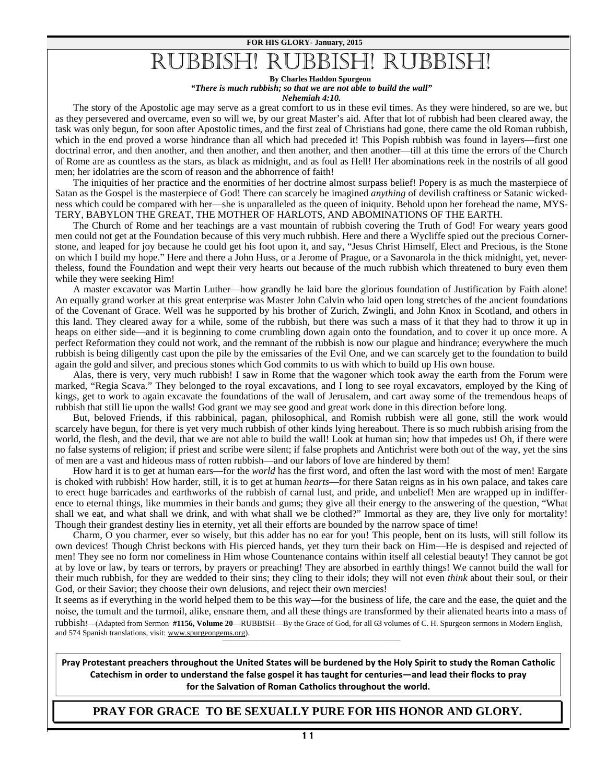#### **FOR HIS GLORY- January, 2015**

### RUBBISH! RUBBISH! RUBBISH!

#### **By Charles Haddon Spurgeon**

*"There is much rubbish; so that we are not able to build the wall"* 

#### *Nehemiah 4:10.*

The story of the Apostolic age may serve as a great comfort to us in these evil times. As they were hindered, so are we, but as they persevered and overcame, even so will we, by our great Master's aid. After that lot of rubbish had been cleared away, the task was only begun, for soon after Apostolic times, and the first zeal of Christians had gone, there came the old Roman rubbish, which in the end proved a worse hindrance than all which had preceded it! This Popish rubbish was found in layers—first one doctrinal error, and then another, and then another, and then another, and then another—till at this time the errors of the Church of Rome are as countless as the stars, as black as midnight, and as foul as Hell! Her abominations reek in the nostrils of all good men; her idolatries are the scorn of reason and the abhorrence of faith!

The iniquities of her practice and the enormities of her doctrine almost surpass belief! Popery is as much the masterpiece of Satan as the Gospel is the masterpiece of God! There can scarcely be imagined *anything* of devilish craftiness or Satanic wickedness which could be compared with her—she is unparalleled as the queen of iniquity. Behold upon her forehead the name, MYS-TERY, BABYLON THE GREAT, THE MOTHER OF HARLOTS, AND ABOMINATIONS OF THE EARTH.

The Church of Rome and her teachings are a vast mountain of rubbish covering the Truth of God! For weary years good men could not get at the Foundation because of this very much rubbish. Here and there a Wycliffe spied out the precious Cornerstone, and leaped for joy because he could get his foot upon it, and say, "Jesus Christ Himself, Elect and Precious, is the Stone on which I build my hope." Here and there a John Huss, or a Jerome of Prague, or a Savonarola in the thick midnight, yet, nevertheless, found the Foundation and wept their very hearts out because of the much rubbish which threatened to bury even them while they were seeking Him!

A master excavator was Martin Luther—how grandly he laid bare the glorious foundation of Justification by Faith alone! An equally grand worker at this great enterprise was Master John Calvin who laid open long stretches of the ancient foundations of the Covenant of Grace. Well was he supported by his brother of Zurich, Zwingli, and John Knox in Scotland, and others in this land. They cleared away for a while, some of the rubbish, but there was such a mass of it that they had to throw it up in heaps on either side—and it is beginning to come crumbling down again onto the foundation, and to cover it up once more. A perfect Reformation they could not work, and the remnant of the rubbish is now our plague and hindrance; everywhere the much rubbish is being diligently cast upon the pile by the emissaries of the Evil One, and we can scarcely get to the foundation to build again the gold and silver, and precious stones which God commits to us with which to build up His own house.

Alas, there is very, very much rubbish! I saw in Rome that the wagoner which took away the earth from the Forum were marked, "Regia Scava." They belonged to the royal excavations, and I long to see royal excavators, employed by the King of kings, get to work to again excavate the foundations of the wall of Jerusalem, and cart away some of the tremendous heaps of rubbish that still lie upon the walls! God grant we may see good and great work done in this direction before long.

But, beloved Friends, if this rabbinical, pagan, philosophical, and Romish rubbish were all gone, still the work would scarcely have begun, for there is yet very much rubbish of other kinds lying hereabout. There is so much rubbish arising from the world, the flesh, and the devil, that we are not able to build the wall! Look at human sin; how that impedes us! Oh, if there were no false systems of religion; if priest and scribe were silent; if false prophets and Antichrist were both out of the way, yet the sins of men are a vast and hideous mass of rotten rubbish—and our labors of love are hindered by them!

How hard it is to get at human ears—for the *world* has the first word, and often the last word with the most of men! Eargate is choked with rubbish! How harder, still, it is to get at human *hearts*—for there Satan reigns as in his own palace, and takes care to erect huge barricades and earthworks of the rubbish of carnal lust, and pride, and unbelief! Men are wrapped up in indifference to eternal things, like mummies in their bands and gums; they give all their energy to the answering of the question, "What shall we eat, and what shall we drink, and with what shall we be clothed?" Immortal as they are, they live only for mortality! Though their grandest destiny lies in eternity, yet all their efforts are bounded by the narrow space of time!

Charm, O you charmer, ever so wisely, but this adder has no ear for you! This people, bent on its lusts, will still follow its own devices! Though Christ beckons with His pierced hands, yet they turn their back on Him—He is despised and rejected of men! They see no form nor comeliness in Him whose Countenance contains within itself all celestial beauty! They cannot be got at by love or law, by tears or terrors, by prayers or preaching! They are absorbed in earthly things! We cannot build the wall for their much rubbish, for they are wedded to their sins; they cling to their idols; they will not even *think* about their soul, or their God, or their Savior; they choose their own delusions, and reject their own mercies!

It seems as if everything in the world helped them to be this way—for the business of life, the care and the ease, the quiet and the noise, the tumult and the turmoil, alike, ensnare them, and all these things are transformed by their alienated hearts into a mass of rubbish!—(Adapted from Sermon **#1156, Volume 20**—RUBBISH—By the Grace of God, for all 63 volumes of C. H. Spurgeon sermons in Modern English, and 574 Spanish translations, visit: www.spurgeongems.org).

 $\_$  , and the state of the state of the state of the state of the state of the state of the state of the state of the state of the state of the state of the state of the state of the state of the state of the state of the

Pray Protestant preachers throughout the United States will be burdened by the Holy Spirit to study the Roman Catholic Catechism in order to understand the false gospel it has taught for centuries—and lead their flocks to pray **for the SalvaƟon of Roman Catholics throughout the world.**

#### **PRAY FOR GRACE TO BE SEXUALLY PURE FOR HIS HONOR AND GLORY.**